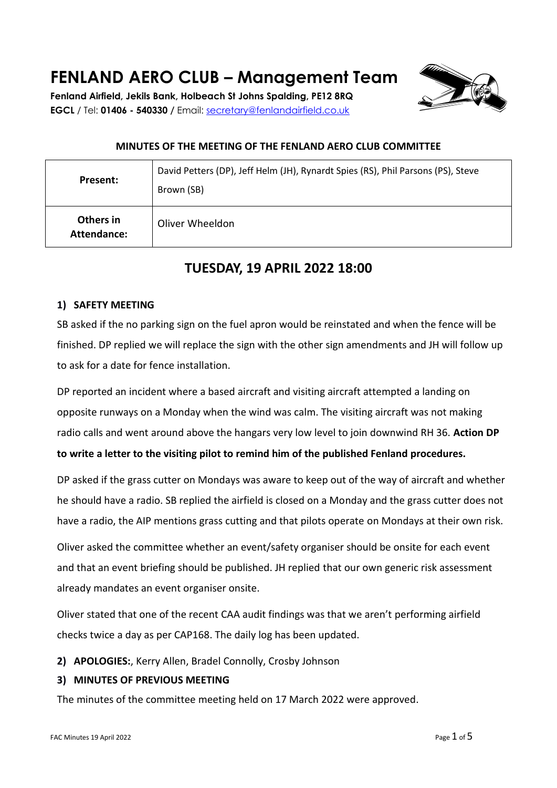# **FENLAND AERO CLUB – Management Team**

**Fenland Airfield, Jekils Bank, Holbeach St Johns Spalding, PE12 8RQ EGCL** / Tel: **01406 - 540330 /** Email: [secretary@fenlandairfield.co.uk](mailto:secretary@fenlandairfield.co.uk)



#### **MINUTES OF THE MEETING OF THE FENLAND AERO CLUB COMMITTEE**

| Present:                 | David Petters (DP), Jeff Helm (JH), Rynardt Spies (RS), Phil Parsons (PS), Steve<br>Brown (SB) |
|--------------------------|------------------------------------------------------------------------------------------------|
| Others in<br>Attendance: | Oliver Wheeldon                                                                                |

# **TUESDAY, 19 APRIL 2022 18:00**

#### **1) SAFETY MEETING**

SB asked if the no parking sign on the fuel apron would be reinstated and when the fence will be finished. DP replied we will replace the sign with the other sign amendments and JH will follow up to ask for a date for fence installation.

DP reported an incident where a based aircraft and visiting aircraft attempted a landing on opposite runways on a Monday when the wind was calm. The visiting aircraft was not making radio calls and went around above the hangars very low level to join downwind RH 36. **Action DP to write a letter to the visiting pilot to remind him of the published Fenland procedures.**

DP asked if the grass cutter on Mondays was aware to keep out of the way of aircraft and whether he should have a radio. SB replied the airfield is closed on a Monday and the grass cutter does not have a radio, the AIP mentions grass cutting and that pilots operate on Mondays at their own risk.

Oliver asked the committee whether an event/safety organiser should be onsite for each event and that an event briefing should be published. JH replied that our own generic risk assessment already mandates an event organiser onsite.

Oliver stated that one of the recent CAA audit findings was that we aren't performing airfield checks twice a day as per CAP168. The daily log has been updated.

#### **2) APOLOGIES:**, Kerry Allen, Bradel Connolly, Crosby Johnson

#### **3) MINUTES OF PREVIOUS MEETING**

The minutes of the committee meeting held on 17 March 2022 were approved.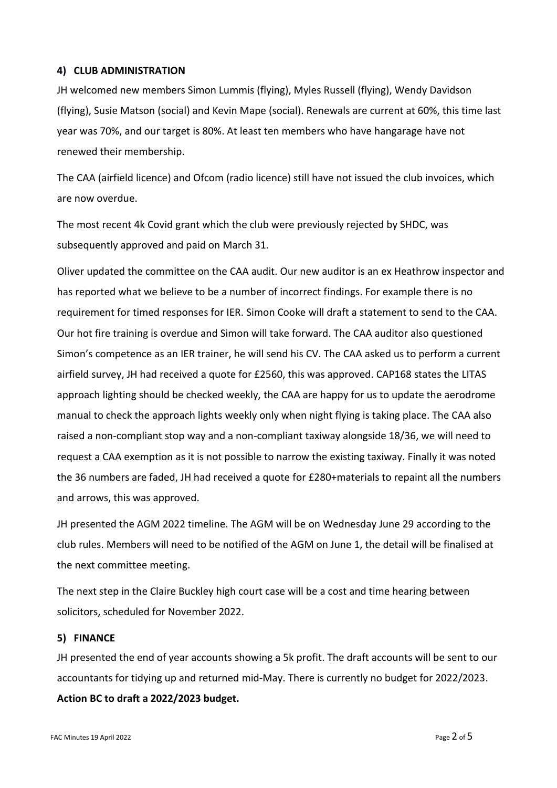#### **4) CLUB ADMINISTRATION**

JH welcomed new members Simon Lummis (flying), Myles Russell (flying), Wendy Davidson (flying), Susie Matson (social) and Kevin Mape (social). Renewals are current at 60%, this time last year was 70%, and our target is 80%. At least ten members who have hangarage have not renewed their membership.

The CAA (airfield licence) and Ofcom (radio licence) still have not issued the club invoices, which are now overdue.

The most recent 4k Covid grant which the club were previously rejected by SHDC, was subsequently approved and paid on March 31.

Oliver updated the committee on the CAA audit. Our new auditor is an ex Heathrow inspector and has reported what we believe to be a number of incorrect findings. For example there is no requirement for timed responses for IER. Simon Cooke will draft a statement to send to the CAA. Our hot fire training is overdue and Simon will take forward. The CAA auditor also questioned Simon's competence as an IER trainer, he will send his CV. The CAA asked us to perform a current airfield survey, JH had received a quote for £2560, this was approved. CAP168 states the LITAS approach lighting should be checked weekly, the CAA are happy for us to update the aerodrome manual to check the approach lights weekly only when night flying is taking place. The CAA also raised a non-compliant stop way and a non-compliant taxiway alongside 18/36, we will need to request a CAA exemption as it is not possible to narrow the existing taxiway. Finally it was noted the 36 numbers are faded, JH had received a quote for £280+materials to repaint all the numbers and arrows, this was approved.

JH presented the AGM 2022 timeline. The AGM will be on Wednesday June 29 according to the club rules. Members will need to be notified of the AGM on June 1, the detail will be finalised at the next committee meeting.

The next step in the Claire Buckley high court case will be a cost and time hearing between solicitors, scheduled for November 2022.

#### **5) FINANCE**

JH presented the end of year accounts showing a 5k profit. The draft accounts will be sent to our accountants for tidying up and returned mid-May. There is currently no budget for 2022/2023.

# **Action BC to draft a 2022/2023 budget.**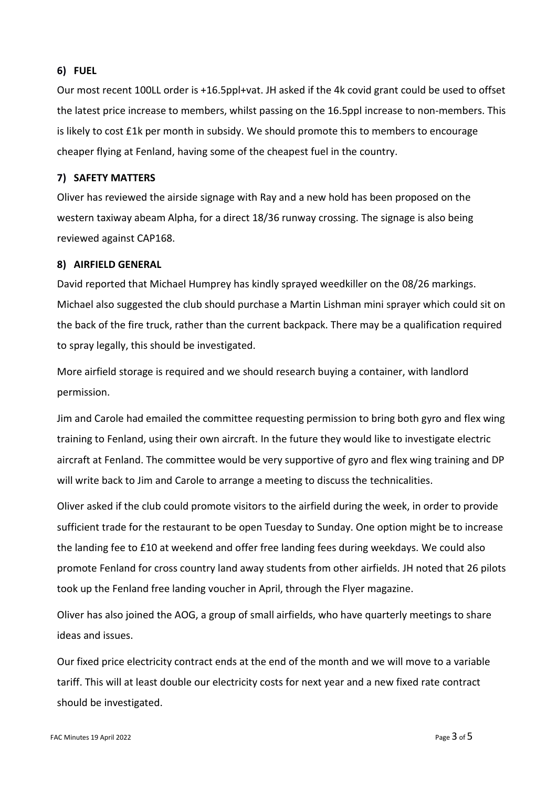#### **6) FUEL**

Our most recent 100LL order is +16.5ppl+vat. JH asked if the 4k covid grant could be used to offset the latest price increase to members, whilst passing on the 16.5ppl increase to non-members. This is likely to cost £1k per month in subsidy. We should promote this to members to encourage cheaper flying at Fenland, having some of the cheapest fuel in the country.

#### **7) SAFETY MATTERS**

Oliver has reviewed the airside signage with Ray and a new hold has been proposed on the western taxiway abeam Alpha, for a direct 18/36 runway crossing. The signage is also being reviewed against CAP168.

#### **8) AIRFIELD GENERAL**

David reported that Michael Humprey has kindly sprayed weedkiller on the 08/26 markings. Michael also suggested the club should purchase a Martin Lishman mini sprayer which could sit on the back of the fire truck, rather than the current backpack. There may be a qualification required to spray legally, this should be investigated.

More airfield storage is required and we should research buying a container, with landlord permission.

Jim and Carole had emailed the committee requesting permission to bring both gyro and flex wing training to Fenland, using their own aircraft. In the future they would like to investigate electric aircraft at Fenland. The committee would be very supportive of gyro and flex wing training and DP will write back to Jim and Carole to arrange a meeting to discuss the technicalities.

Oliver asked if the club could promote visitors to the airfield during the week, in order to provide sufficient trade for the restaurant to be open Tuesday to Sunday. One option might be to increase the landing fee to £10 at weekend and offer free landing fees during weekdays. We could also promote Fenland for cross country land away students from other airfields. JH noted that 26 pilots took up the Fenland free landing voucher in April, through the Flyer magazine.

Oliver has also joined the AOG, a group of small airfields, who have quarterly meetings to share ideas and issues.

Our fixed price electricity contract ends at the end of the month and we will move to a variable tariff. This will at least double our electricity costs for next year and a new fixed rate contract should be investigated.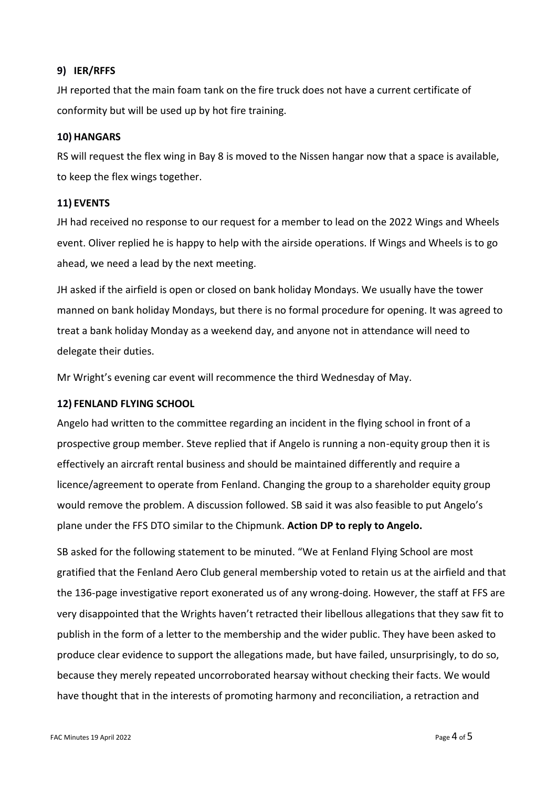#### **9) IER/RFFS**

JH reported that the main foam tank on the fire truck does not have a current certificate of conformity but will be used up by hot fire training.

#### **10) HANGARS**

RS will request the flex wing in Bay 8 is moved to the Nissen hangar now that a space is available, to keep the flex wings together.

#### **11) EVENTS**

JH had received no response to our request for a member to lead on the 2022 Wings and Wheels event. Oliver replied he is happy to help with the airside operations. If Wings and Wheels is to go ahead, we need a lead by the next meeting.

JH asked if the airfield is open or closed on bank holiday Mondays. We usually have the tower manned on bank holiday Mondays, but there is no formal procedure for opening. It was agreed to treat a bank holiday Monday as a weekend day, and anyone not in attendance will need to delegate their duties.

Mr Wright's evening car event will recommence the third Wednesday of May.

#### **12) FENLAND FLYING SCHOOL**

Angelo had written to the committee regarding an incident in the flying school in front of a prospective group member. Steve replied that if Angelo is running a non-equity group then it is effectively an aircraft rental business and should be maintained differently and require a licence/agreement to operate from Fenland. Changing the group to a shareholder equity group would remove the problem. A discussion followed. SB said it was also feasible to put Angelo's plane under the FFS DTO similar to the Chipmunk. **Action DP to reply to Angelo.**

SB asked for the following statement to be minuted. "We at Fenland Flying School are most gratified that the Fenland Aero Club general membership voted to retain us at the airfield and that the 136-page investigative report exonerated us of any wrong-doing. However, the staff at FFS are very disappointed that the Wrights haven't retracted their libellous allegations that they saw fit to publish in the form of a letter to the membership and the wider public. They have been asked to produce clear evidence to support the allegations made, but have failed, unsurprisingly, to do so, because they merely repeated uncorroborated hearsay without checking their facts. We would have thought that in the interests of promoting harmony and reconciliation, a retraction and